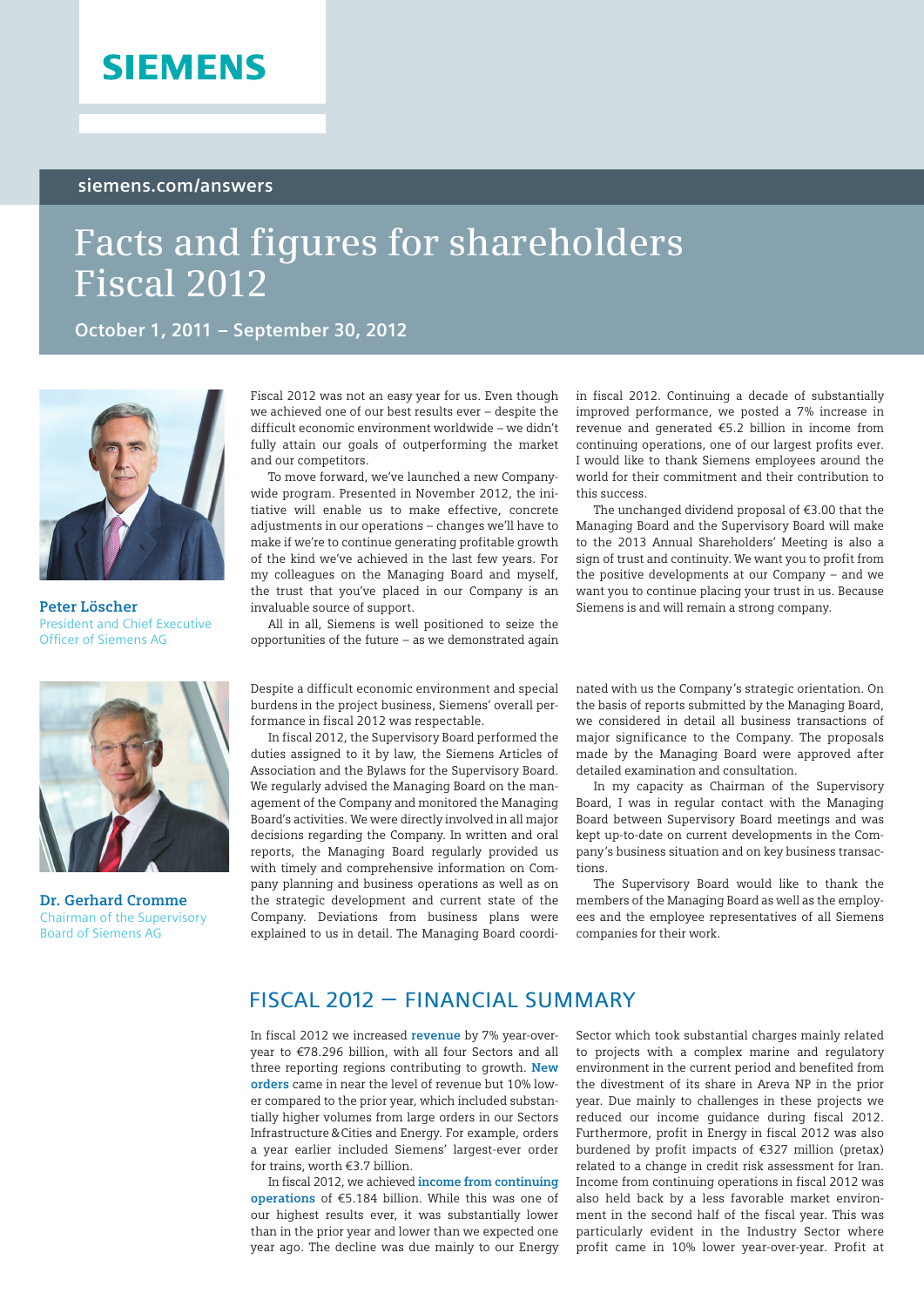# **SIEMENS**

#### **[siemens.com/answers](www.siemens.com/answers)**

# **Facts and figures for shareholders Fiscal 2012**

**October 1, 2011 – September 30, 2012**



**Peter Löscher**  President and Chief Executive Officer of Siemens AG



**Dr. Gerhard Cromme**  Chairman of the Supervisory Board of Siemens AG

Fiscal 2012 was not an easy year for us. Even though we achieved one of our best results ever – despite the difficult economic environment worldwide – we didn't fully attain our goals of outperforming the market and our competitors.

To move forward, we've launched a new Companywide program. Presented in November 2012, the initiative will enable us to make effective, concrete adjustments in our operations – changes we'll have to make if we're to continue generating profitable growth of the kind we've achieved in the last few years. For my colleagues on the Managing Board and myself, the trust that you've placed in our Company is an invaluable source of support.

All in all, Siemens is well positioned to seize the opportunities of the future – as we demonstrated again

Despite a difficult economic environment and special burdens in the project business, Siemens' overall performance in fiscal 2012 was respectable.

In fiscal 2012, the Supervisory Board performed the duties assigned to it by law, the Siemens Articles of Association and the Bylaws for the Supervisory Board. We regularly advised the Managing Board on the management of the Company and monitored the Managing Board's activities. We were directly involved in all major decisions regarding the Company. In written and oral reports, the Managing Board regularly provided us with timely and comprehensive information on Company planning and business operations as well as on the strategic development and current state of the Company. Deviations from business plans were explained to us in detail. The Managing Board coordiin fiscal 2012. Continuing a decade of substantially improved performance, we posted a 7% increase in revenue and generated €5.2 billion in income from continuing operations, one of our largest profits ever. I would like to thank Siemens employees around the world for their commitment and their contribution to this success.

The unchanged dividend proposal of €3.00 that the Managing Board and the Supervisory Board will make to the 2013 Annual Shareholders' Meeting is also a sign of trust and continuity. We want you to profit from the positive developments at our Company – and we want you to continue placing your trust in us. Because Siemens is and will remain a strong company.

nated with us the Company 's strategic orientation. On the basis of reports submitted by the Managing Board, we considered in detail all business transactions of major significance to the Company. The proposals made by the Managing Board were approved after detailed examination and consultation.

In my capacity as Chairman of the Supervisory Board, I was in regular contact with the Managing Board between Supervisory Board meetings and was kept up-to-date on current developments in the Company 's business situation and on key business transactions.

The Supervisory Board would like to thank the members of the Managing Board as well as the employees and the employee representatives of all Siemens companies for their work.

# Fiscal 2012 – Financial summary

In fiscal 2012 we increased **revenue** by 7% year-overyear to €78.296 billion, with all four Sectors and all three reporting regions contributing to growth. **New orders** came in near the level of revenue but 10% lower compared to the prior year, which included substantially higher volumes from large orders in our Sectors Infrastructure&Cities and Energy. For example, orders a year earlier included Siemens' largest-ever order for trains, worth €3.7 billion.

In fiscal 2012, we achieved **income from continuing operations** of €5.184 billion. While this was one of our highest results ever, it was substantially lower than in the prior year and lower than we expected one year ago. The decline was due mainly to our Energy

Sector which took substantial charges mainly related to projects with a complex marine and regulatory environment in the current period and benefited from the divestment of its share in Areva NP in the prior year. Due mainly to challenges in these projects we reduced our income guidance during fiscal 2012. Furthermore, profit in Energy in fiscal 2012 was also burdened by profit impacts of €327 million (pretax) related to a change in credit risk assessment for Iran. Income from continuing operations in fiscal 2012 was also held back by a less favorable market environment in the second half of the fiscal year. This was particularly evident in the Industry Sector where profit came in 10% lower year-over-year. Profit at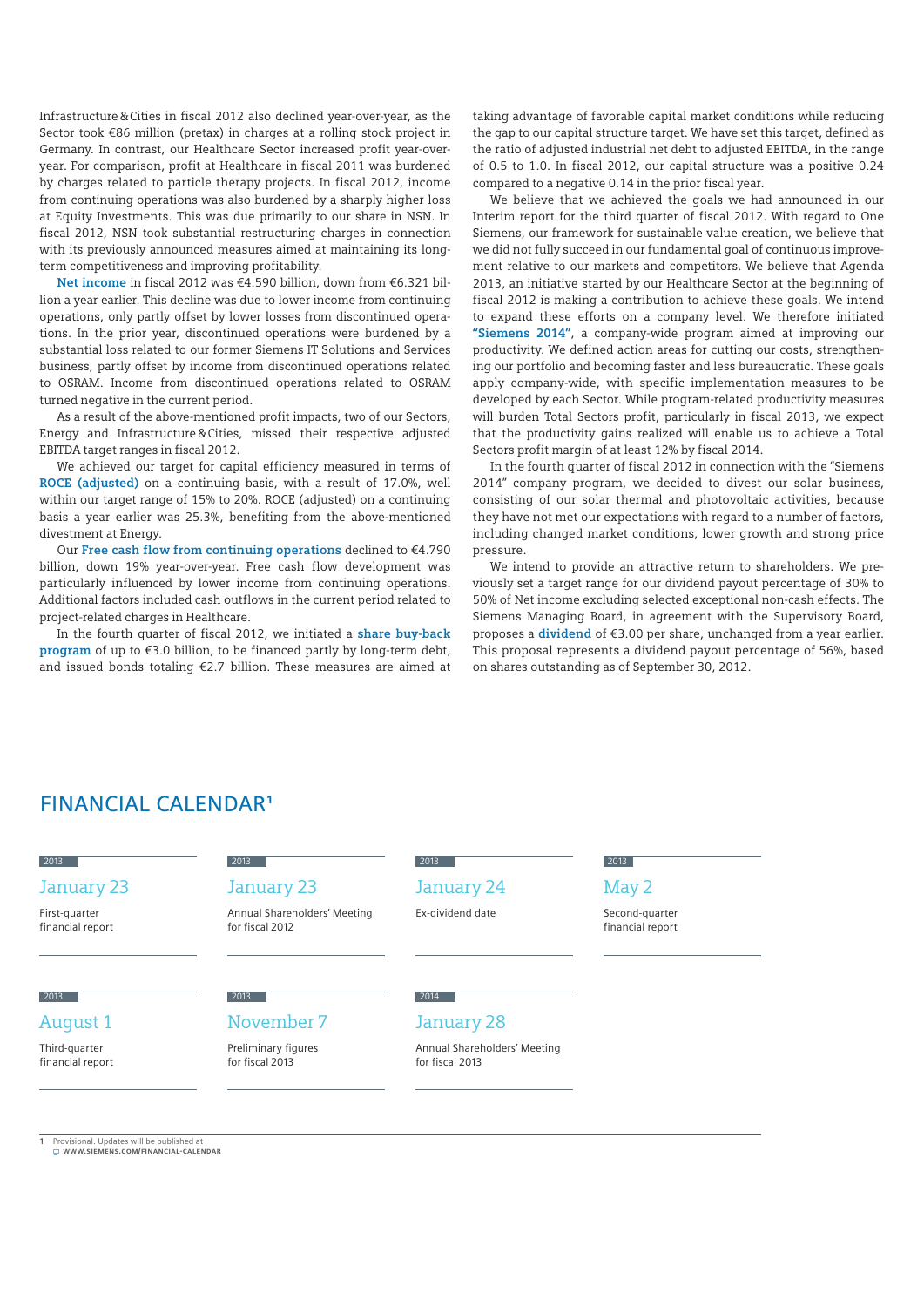Infrastructure&Cities in fiscal 2012 also declined year-over-year, as the Sector took €86 million (pretax) in charges at a rolling stock project in Germany. In contrast, our Healthcare Sector increased profit year-overyear. For comparison, profit at Healthcare in fiscal 2011 was burdened by charges related to particle therapy projects. In fiscal 2012, income from continuing operations was also burdened by a sharply higher loss at Equity Investments. This was due primarily to our share in NSN. In fiscal 2012, NSN took substantial restructuring charges in connection with its previously announced measures aimed at maintaining its longterm competitiveness and improving profitability.

**Net income** in fiscal 2012 was €4.590 billion, down from €6.321 billion a year earlier. This decline was due to lower income from continuing operations, only partly offset by lower losses from discontinued operations. In the prior year, discontinued operations were burdened by a substantial loss related to our former Siemens IT Solutions and Services business, partly offset by income from discontinued operations related to OSRAM. Income from discontinued operations related to OSRAM turned negative in the current period.

As a result of the above-mentioned profit impacts, two of our Sectors, Energy and Infrastructure&Cities, missed their respective adjusted EBITDA target ranges in fiscal 2012.

We achieved our target for capital efficiency measured in terms of **ROCE (adjusted)** on a continuing basis, with a result of 17.0%, well within our target range of 15% to 20%. ROCE (adjusted) on a continuing basis a year earlier was 25.3%, benefiting from the above-mentioned divestment at Energy.

Our **Free cash flow from continuing operations** declined to €4.790 billion, down 19% year-over-year. Free cash flow development was particularly influenced by lower income from continuing operations. Additional factors included cash outflows in the current period related to project-related charges in Healthcare.

In the fourth quarter of fiscal 2012, we initiated a **share buy-back program** of up to €3.0 billion, to be financed partly by long-term debt, and issued bonds totaling €2.7 billion. These measures are aimed at taking advantage of favorable capital market conditions while reducing the gap to our capital structure target. We have set this target, defined as the ratio of adjusted industrial net debt to adjusted EBITDA, in the range of 0.5 to 1.0. In fiscal 2012, our capital structure was a positive 0.24 compared to a negative 0.14 in the prior fiscal year.

We believe that we achieved the goals we had announced in our Interim report for the third quarter of fiscal 2012. With regard to One Siemens, our framework for sustainable value creation, we believe that we did not fully succeed in our fundamental goal of continuous improvement relative to our markets and competitors. We believe that Agenda 2013, an initiative started by our Healthcare Sector at the beginning of fiscal 2012 is making a contribution to achieve these goals. We intend to expand these efforts on a company level. We therefore initiated **"Siemens 2014"**, a company-wide program aimed at improving our productivity. We defined action areas for cutting our costs, strengthening our portfolio and becoming faster and less bureaucratic. These goals apply company-wide, with specific implementation measures to be developed by each Sector. While program-related productivity measures will burden Total Sectors profit, particularly in fiscal 2013, we expect that the productivity gains realized will enable us to achieve a Total Sectors profit margin of at least 12% by fiscal 2014.

In the fourth quarter of fiscal 2012 in connection with the "Siemens 2014" company program, we decided to divest our solar business, consisting of our solar thermal and photovoltaic activities, because they have not met our expectations with regard to a number of factors, including changed market conditions, lower growth and strong price pressure.

We intend to provide an attractive return to shareholders. We previously set a target range for our dividend payout percentage of 30% to 50% of Net income excluding selected exceptional non-cash effects. The Siemens Managing Board, in agreement with the Supervisory Board, proposes a **dividend** of €3.00 per share, unchanged from a year earlier. This proposal represents a dividend payout percentage of 56%, based on shares outstanding as of September 30, 2012.

### Financial calendar**<sup>1</sup>**

## 2013

#### January 23

First-quarter financial report

for fiscal 2012

## 2013

#### August 1

Third-quarter financial report

### January 23

November 7 Preliminary figures for fiscal 2013

2013

 $2013$ 

Annual Shareholders' Meeting

# January 24

2013

Ex-dividend date

#### 2013 May 2

Second-quarter financial report

# 2014

#### January 28

Annual Shareholders' Meeting for fiscal 2013

**1** Provisional. Updates will be published at **<www.siemens.com/financial-calendar>**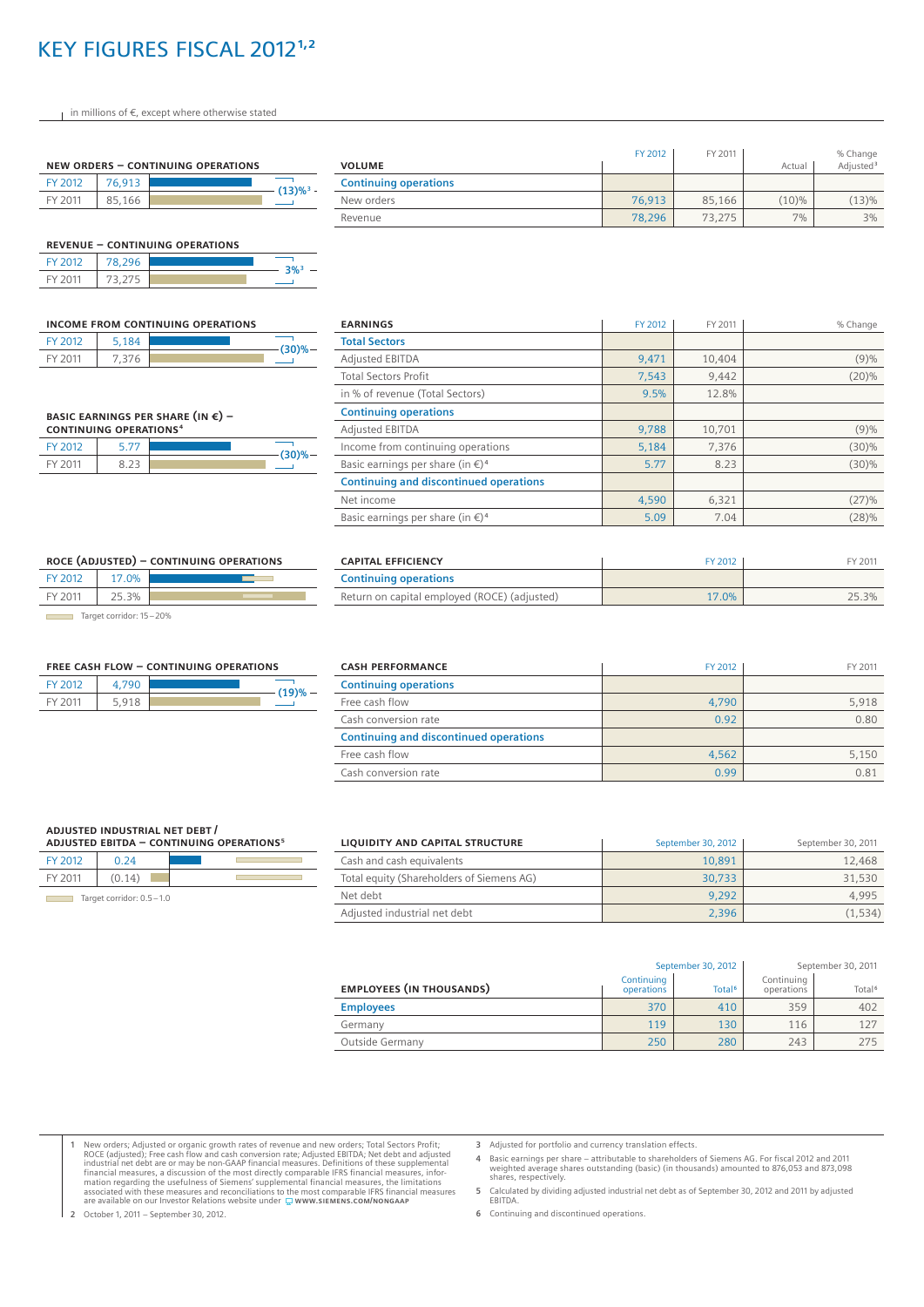# key figures fiscal 2012**1,2**

in millions of €, except where otherwise stated

|         |        | NEW ORDERS - CONTINUING OPERATIONS |                         |
|---------|--------|------------------------------------|-------------------------|
| FY 2012 | 76.913 |                                    | $(13)\%$ <sup>3</sup> - |
| FY 2011 | 85,166 |                                    |                         |

|         |        | <b>REVENUE - CONTINUING OPERATIONS</b> |                    |
|---------|--------|----------------------------------------|--------------------|
| FY 2012 | 78.296 |                                        | $3\%$ <sup>3</sup> |
| FY 2011 | 73.275 |                                        |                    |

|                |       | INCOME FROM CONTINUING OPERATIONS |
|----------------|-------|-----------------------------------|
| FY 2012        | 5.184 | -(30)%-                           |
| <b>EY 2011</b> | 7.376 |                                   |

**Basic earnings per share (in €) – continuing operations <sup>4</sup>** FY 2012 5.77 FY 2011 8.23

| <b>VOLUME</b>                | FY 2012 | FY 2011 | Actual | % Change<br>Adjusted <sup>3</sup> |
|------------------------------|---------|---------|--------|-----------------------------------|
| <b>Continuing operations</b> |         |         |        |                                   |
| New orders                   | 76.913  | 85,166  | (10)%  | (13)%                             |
| Revenue                      | 78.296  | 73.275  | 7%     | $3\%$                             |

| <b>EARNINGS</b>                                        | FY 2012 | FY 2011 | % Change |
|--------------------------------------------------------|---------|---------|----------|
| <b>Total Sectors</b>                                   |         |         |          |
| <b>Adjusted EBITDA</b>                                 | 9,471   | 10,404  | (9)%     |
| <b>Total Sectors Profit</b>                            | 7.543   | 9,442   | (20)%    |
| in % of revenue (Total Sectors)                        | 9.5%    | 12.8%   |          |
| <b>Continuing operations</b>                           |         |         |          |
| <b>Adjusted EBITDA</b>                                 | 9,788   | 10,701  | (9)%     |
| Income from continuing operations                      | 5,184   | 7,376   | (30)%    |
| Basic earnings per share (in $\epsilon$ ) <sup>4</sup> | 5.77    | 8.23    | (30)%    |
| <b>Continuing and discontinued operations</b>          |         |         |          |
| Net income                                             | 4.590   | 6,321   | (27)%    |
| Basic earnings per share (in $\epsilon$ ) <sup>4</sup> | 5.09    | 7.04    | (28)%    |

| <b>CAPITAL EFFICIENCY</b>                    | FY 2012 | FY 2011 |
|----------------------------------------------|---------|---------|
| <b>Continuing operations</b>                 |         |         |
| Return on capital employed (ROCE) (adjusted) | 17.0%   | 25.3%   |

Target corridor: 15-20%

FY 2012 17.0% FY 2011 25.3%

|       | <b>FREE CASH FLOW - CONTINUING OPERATIONS</b> |       |         |
|-------|-----------------------------------------------|-------|---------|
| (19)% |                                               | 4.790 | FY 2012 |
|       |                                               | 5.918 | FY 2011 |

**ROCE (adjusted) – continuing operations**

| <b>CASH PERFORMANCE</b>                       | FY 2012 | FY 2011 |
|-----------------------------------------------|---------|---------|
| <b>Continuing operations</b>                  |         |         |
| Free cash flow                                | 4.790   | 5.918   |
| Cash conversion rate                          | 0.92    | 0.80    |
| <b>Continuing and discontinued operations</b> |         |         |
| Free cash flow                                | 4.562   | 5.150   |
| Cash conversion rate                          | 0.99    | 0.81    |

| ADJUSTED INDUSTRIAL NET DEBT /<br>ADJUSTED EBITDA - CONTINUING OPERATIONS <sup>5</sup> |                          |  |  |  |  |
|----------------------------------------------------------------------------------------|--------------------------|--|--|--|--|
| FY 2012                                                                                | 0.24                     |  |  |  |  |
| FY 2011                                                                                | (0.14)                   |  |  |  |  |
|                                                                                        | Target corridor: 0.5-1.0 |  |  |  |  |

| LIQUIDITY AND CAPITAL STRUCTURE           | September 30, 2012 | September 30, 2011 |
|-------------------------------------------|--------------------|--------------------|
| Cash and cash equivalents                 | 10.891             | 12,468             |
| Total equity (Shareholders of Siemens AG) | 30.733             | 31,530             |
| Net debt                                  | 9.292              | 4.995              |
| Adjusted industrial net debt              | 2.396              | (1.534)            |

|                                 | September 30, 2012       |                    | September 30, 2011       |                    |
|---------------------------------|--------------------------|--------------------|--------------------------|--------------------|
| <b>EMPLOYEES (IN THOUSANDS)</b> | Continuing<br>operations | Total <sup>6</sup> | Continuing<br>operations | Total <sup>6</sup> |
| <b>Employees</b>                | 370                      | 410                | 359                      | 402                |
| Germany                         | 119                      | 130                | 116                      | 127                |
| Outside Germany                 | 250                      | 280                | 243                      | 275                |

1 New orders; Adjusted or organic growth rates of revenue and new orders; Total Sectors Profit;<br>ROCE (adjusted); Free cash flow and cash conversion rate; Adjusted EBITDA; Net debt and adjusted<br>industrial net debt are or m

**3** Adjusted for portfolio and currency translation effects.

- **4** Basic earnings per share attributable to shareholders of Siemens AG. For fiscal 2012 and 2011 weighted average shares outstanding (basic) (in thousands) amounted to 876,053 and 873,098 shares, respectively.
- **5** Calculated by dividing adjusted industrial net debt as of September 30, 2012 and 2011 by adjusted EBITDA.

**6** Continuing and discontinued operations.

−

**(30)%**

| Free cash flow                                | 4,790 |  |
|-----------------------------------------------|-------|--|
| Cash conversion rate                          | 0.92  |  |
| <b>Continuing and discontinued operations</b> |       |  |
| Free cash flow                                | 4,562 |  |
| Cash conversion rate                          | 0.99  |  |

**2** October 1, 2011 – September 30, 2012.